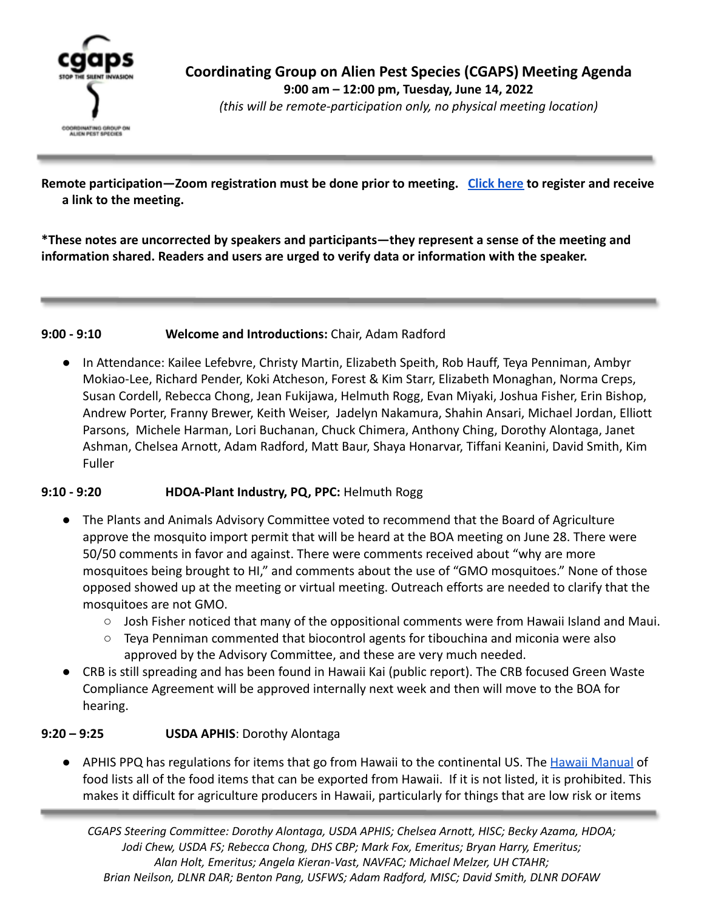

**Coordinating Group on Alien Pest Species (CGAPS) Meeting Agenda 9:00 am – 12:00 pm, Tuesday, June 14, 2022** *(this will be remote-participation only, no physical meeting location)*

**Remote participation—Zoom registration must be done prior to meeting. [Click here](https://hawaii.zoom.us/meeting/register/tJApdOmqrT4jGtZgpYeC0bvqgbeHgpTb6Bom) to register and receive a link to the meeting.**

**\*These notes are uncorrected by speakers and participants—they represent a sense of the meeting and information shared. Readers and users are urged to verify data or information with the speaker.**

### **9:00 - 9:10 Welcome and Introductions:** Chair, Adam Radford

● In Attendance: Kailee Lefebvre, Christy Martin, Elizabeth Speith, Rob Hauff, Teya Penniman, Ambyr Mokiao-Lee, Richard Pender, Koki Atcheson, Forest & Kim Starr, Elizabeth Monaghan, Norma Creps, Susan Cordell, Rebecca Chong, Jean Fukijawa, Helmuth Rogg, Evan Miyaki, Joshua Fisher, Erin Bishop, Andrew Porter, Franny Brewer, Keith Weiser, Jadelyn Nakamura, Shahin Ansari, Michael Jordan, Elliott Parsons, Michele Harman, Lori Buchanan, Chuck Chimera, Anthony Ching, Dorothy Alontaga, Janet Ashman, Chelsea Arnott, Adam Radford, Matt Baur, Shaya Honarvar, Tiffani Keanini, David Smith, Kim Fuller

## **9:10 - 9:20 HDOA-Plant Industry, PQ, PPC:** Helmuth Rogg

- The Plants and Animals Advisory Committee voted to recommend that the Board of Agriculture approve the mosquito import permit that will be heard at the BOA meeting on June 28. There were 50/50 comments in favor and against. There were comments received about "why are more mosquitoes being brought to HI," and comments about the use of "GMO mosquitoes." None of those opposed showed up at the meeting or virtual meeting. Outreach efforts are needed to clarify that the mosquitoes are not GMO.
	- $\circ$  Josh Fisher noticed that many of the oppositional comments were from Hawaii Island and Maui.
	- Teya Penniman commented that biocontrol agents for tibouchina and miconia were also approved by the Advisory Committee, and these are very much needed.
- CRB is still spreading and has been found in Hawaii Kai (public report). The CRB focused Green Waste Compliance Agreement will be approved internally next week and then will move to the BOA for hearing.

## **9:20 – 9:25 USDA APHIS**: Dorothy Alontaga

APHIS PPQ has regulations for items that go from Hawaii to the continental US. The [Hawaii Manual](https://www.aphis.usda.gov/import_export/plants/manuals/ports/downloads/hawaii.pdf) of food lists all of the food items that can be exported from Hawaii. If it is not listed, it is prohibited. This makes it difficult for agriculture producers in Hawaii, particularly for things that are low risk or items

*CGAPS Steering Committee: Dorothy Alontaga, USDA APHIS; Chelsea Arnott, HISC; Becky Azama, HDOA; Jodi Chew, USDA FS; Rebecca Chong, DHS CBP; Mark Fox, Emeritus; Bryan Harry, Emeritus; Alan Holt, Emeritus; Angela Kieran-Vast, NAVFAC; Michael Melzer, UH CTAHR; Brian Neilson, DLNR DAR; Benton Pang, USFWS; Adam Radford, MISC; David Smith, DLNR DOFAW*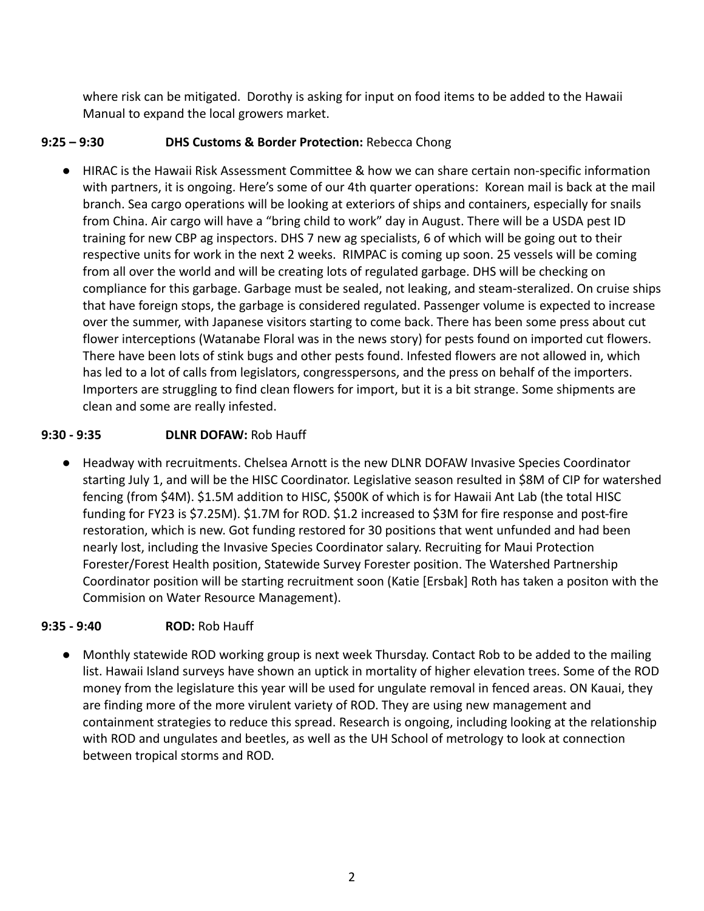where risk can be mitigated. Dorothy is asking for input on food items to be added to the Hawaii Manual to expand the local growers market.

## **9:25 – 9:30 DHS Customs & Border Protection:** Rebecca Chong

● HIRAC is the Hawaii Risk Assessment Committee & how we can share certain non-specific information with partners, it is ongoing. Here's some of our 4th quarter operations: Korean mail is back at the mail branch. Sea cargo operations will be looking at exteriors of ships and containers, especially for snails from China. Air cargo will have a "bring child to work" day in August. There will be a USDA pest ID training for new CBP ag inspectors. DHS 7 new ag specialists, 6 of which will be going out to their respective units for work in the next 2 weeks. RIMPAC is coming up soon. 25 vessels will be coming from all over the world and will be creating lots of regulated garbage. DHS will be checking on compliance for this garbage. Garbage must be sealed, not leaking, and steam-steralized. On cruise ships that have foreign stops, the garbage is considered regulated. Passenger volume is expected to increase over the summer, with Japanese visitors starting to come back. There has been some press about cut flower interceptions (Watanabe Floral was in the news story) for pests found on imported cut flowers. There have been lots of stink bugs and other pests found. Infested flowers are not allowed in, which has led to a lot of calls from legislators, congresspersons, and the press on behalf of the importers. Importers are struggling to find clean flowers for import, but it is a bit strange. Some shipments are clean and some are really infested.

## **9:30 - 9:35 DLNR DOFAW:** Rob Hauff

● Headway with recruitments. Chelsea Arnott is the new DLNR DOFAW Invasive Species Coordinator starting July 1, and will be the HISC Coordinator. Legislative season resulted in \$8M of CIP for watershed fencing (from \$4M). \$1.5M addition to HISC, \$500K of which is for Hawaii Ant Lab (the total HISC funding for FY23 is \$7.25M). \$1.7M for ROD. \$1.2 increased to \$3M for fire response and post-fire restoration, which is new. Got funding restored for 30 positions that went unfunded and had been nearly lost, including the Invasive Species Coordinator salary. Recruiting for Maui Protection Forester/Forest Health position, Statewide Survey Forester position. The Watershed Partnership Coordinator position will be starting recruitment soon (Katie [Ersbak] Roth has taken a positon with the Commision on Water Resource Management).

# **9:35 - 9:40 ROD:** Rob Hauff

● Monthly statewide ROD working group is next week Thursday. Contact Rob to be added to the mailing list. Hawaii Island surveys have shown an uptick in mortality of higher elevation trees. Some of the ROD money from the legislature this year will be used for ungulate removal in fenced areas. ON Kauai, they are finding more of the more virulent variety of ROD. They are using new management and containment strategies to reduce this spread. Research is ongoing, including looking at the relationship with ROD and ungulates and beetles, as well as the UH School of metrology to look at connection between tropical storms and ROD.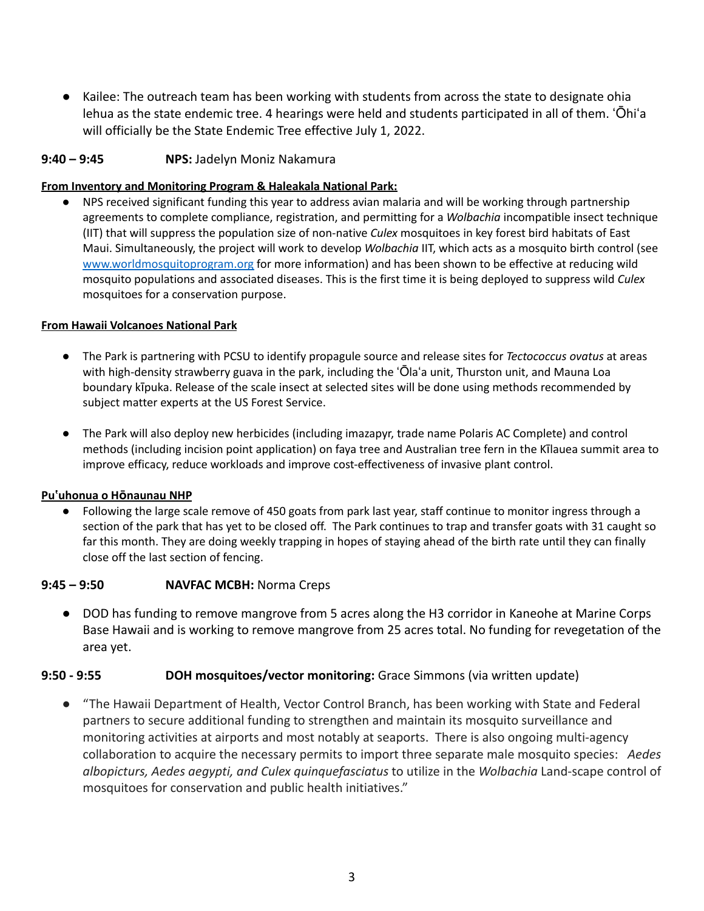● Kailee: The outreach team has been working with students from across the state to designate ohia lehua as the state endemic tree. 4 hearings were held and students participated in all of them. ʻŌhiʻa will officially be the State Endemic Tree effective July 1, 2022.

### **9:40 – 9:45 NPS:** Jadelyn Moniz Nakamura

#### **From Inventory and Monitoring Program & Haleakala National Park:**

NPS received significant funding this year to address avian malaria and will be working through partnership agreements to complete compliance, registration, and permitting for a *Wolbachia* incompatible insect technique (IIT) that will suppress the population size of non-native *Culex* mosquitoes in key forest bird habitats of East Maui. Simultaneously, the project will work to develop *Wolbachia* IIT, which acts as a mosquito birth control (see [www.worldmosquitoprogram.org](http://www.worldmosquitoprogram.org/) for more information) and has been shown to be effective at reducing wild mosquito populations and associated diseases. This is the first time it is being deployed to suppress wild *Culex* mosquitoes for a conservation purpose.

#### **From Hawaii Volcanoes National Park**

- The Park is partnering with PCSU to identify propagule source and release sites for *Tectococcus ovatus* at areas with high-density strawberry guava in the park, including the ʻŌlaʻa unit, Thurston unit, and Mauna Loa boundary kīpuka. Release of the scale insect at selected sites will be done using methods recommended by subject matter experts at the US Forest Service.
- The Park will also deploy new herbicides (including imazapyr, trade name Polaris AC Complete) and control methods (including incision point application) on faya tree and Australian tree fern in the Kīlauea summit area to improve efficacy, reduce workloads and improve cost-effectiveness of invasive plant control.

#### **Puʽuhonua o Hōnaunau NHP**

● Following the large scale remove of 450 goats from park last year, staff continue to monitor ingress through a section of the park that has yet to be closed off. The Park continues to trap and transfer goats with 31 caught so far this month. They are doing weekly trapping in hopes of staying ahead of the birth rate until they can finally close off the last section of fencing.

#### **9:45 – 9:50 NAVFAC MCBH:** Norma Creps

● DOD has funding to remove mangrove from 5 acres along the H3 corridor in Kaneohe at Marine Corps Base Hawaii and is working to remove mangrove from 25 acres total. No funding for revegetation of the area yet.

#### **9:50 - 9:55 DOH mosquitoes/vector monitoring:** Grace Simmons (via written update)

● "The Hawaii Department of Health, Vector Control Branch, has been working with State and Federal partners to secure additional funding to strengthen and maintain its mosquito surveillance and monitoring activities at airports and most notably at seaports. There is also ongoing multi-agency collaboration to acquire the necessary permits to import three separate male mosquito species: *Aedes albopicturs, Aedes aegypti, and Culex quinquefasciatus* to utilize in the *Wolbachia* Land-scape control of mosquitoes for conservation and public health initiatives."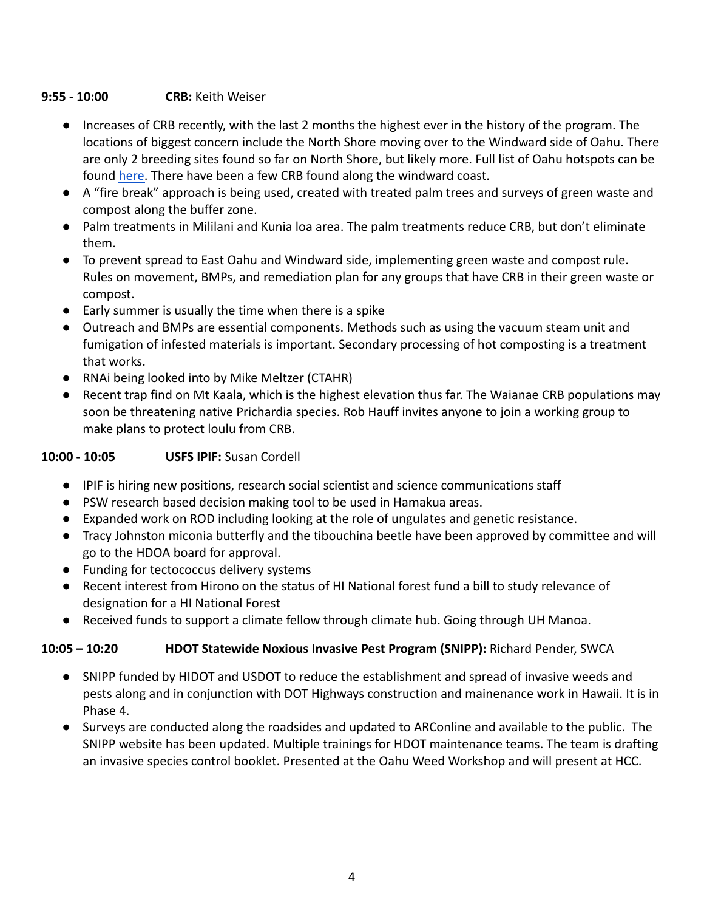## **9:55 - 10:00 CRB:** Keith Weiser

- Increases of CRB recently, with the last 2 months the highest ever in the history of the program. The locations of biggest concern include the North Shore moving over to the Windward side of Oahu. There are only 2 breeding sites found so far on North Shore, but likely more. Full list of Oahu hotspots can be found [here.](https://www.crbhawaii.org/post/where-are-coconut-rhinoceros-beetles-on-o%CA%BBahu-july-dec-2021-detections) There have been a few CRB found along the windward coast.
- A "fire break" approach is being used, created with treated palm trees and surveys of green waste and compost along the buffer zone.
- Palm treatments in Mililani and Kunia loa area. The palm treatments reduce CRB, but don't eliminate them.
- To prevent spread to East Oahu and Windward side, implementing green waste and compost rule. Rules on movement, BMPs, and remediation plan for any groups that have CRB in their green waste or compost.
- Early summer is usually the time when there is a spike
- Outreach and BMPs are essential components. Methods such as using the vacuum steam unit and fumigation of infested materials is important. Secondary processing of hot composting is a treatment that works.
- RNAi being looked into by Mike Meltzer (CTAHR)
- Recent trap find on Mt Kaala, which is the highest elevation thus far. The Waianae CRB populations may soon be threatening native Prichardia species. Rob Hauff invites anyone to join a working group to make plans to protect loulu from CRB.

## **10:00 - 10:05 USFS IPIF:** Susan Cordell

- IPIF is hiring new positions, research social scientist and science communications staff
- PSW research based decision making tool to be used in Hamakua areas.
- Expanded work on ROD including looking at the role of ungulates and genetic resistance.
- Tracy Johnston miconia butterfly and the tibouchina beetle have been approved by committee and will go to the HDOA board for approval.
- Funding for tectococcus delivery systems
- Recent interest from Hirono on the status of HI National forest fund a bill to study relevance of designation for a HI National Forest
- Received funds to support a climate fellow through climate hub. Going through UH Manoa.

# **10:05 – 10:20 HDOT Statewide Noxious Invasive Pest Program (SNIPP):** Richard Pender, SWCA

- SNIPP funded by HIDOT and USDOT to reduce the establishment and spread of invasive weeds and pests along and in conjunction with DOT Highways construction and mainenance work in Hawaii. It is in Phase 4.
- Surveys are conducted along the roadsides and updated to ARConline and available to the public. The SNIPP website has been updated. Multiple trainings for HDOT maintenance teams. The team is drafting an invasive species control booklet. Presented at the Oahu Weed Workshop and will present at HCC.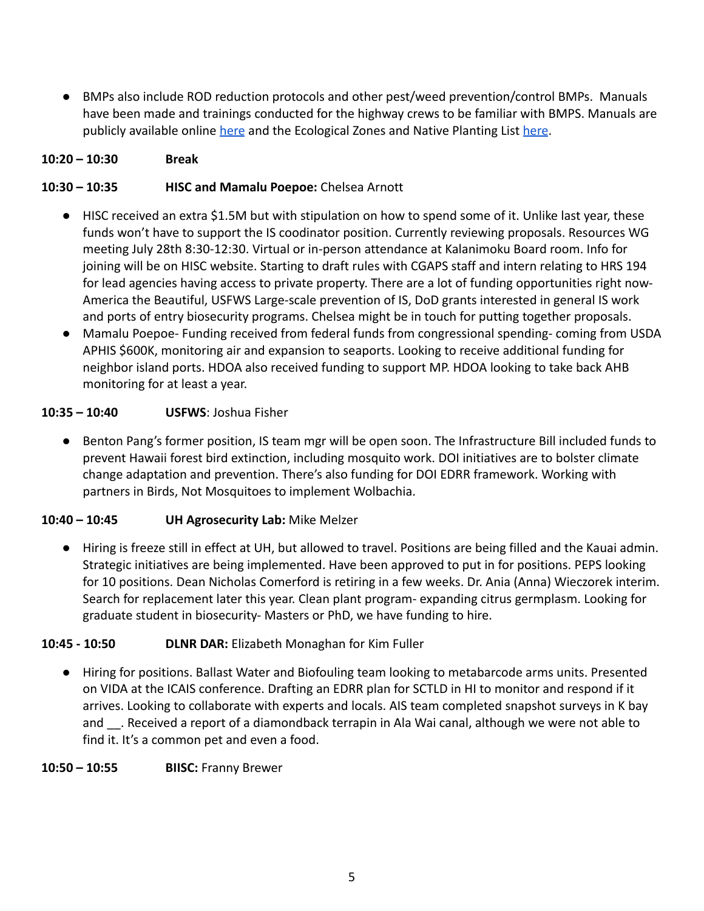● BMPs also include ROD reduction protocols and other pest/weed prevention/control BMPs. Manuals have been made and trainings conducted for the highway crews to be familiar with BMPS. Manuals are publicly available online [here](https://hidot.hawaii.gov/highways/files/2013/01/Ecological-Zones-and-Native-Planting-List-Dec-2014.pdf) and the Ecological Zones and Native Planting List here.

## **10:20 – 10:30 Break**

## **10:30 – 10:35 HISC and Mamalu Poepoe:** Chelsea Arnott

- HISC received an extra \$1.5M but with stipulation on how to spend some of it. Unlike last year, these funds won't have to support the IS coodinator position. Currently reviewing proposals. Resources WG meeting July 28th 8:30-12:30. Virtual or in-person attendance at Kalanimoku Board room. Info for joining will be on HISC website. Starting to draft rules with CGAPS staff and intern relating to HRS 194 for lead agencies having access to private property. There are a lot of funding opportunities right now-America the Beautiful, USFWS Large-scale prevention of IS, DoD grants interested in general IS work and ports of entry biosecurity programs. Chelsea might be in touch for putting together proposals.
- Mamalu Poepoe- Funding received from federal funds from congressional spending- coming from USDA APHIS \$600K, monitoring air and expansion to seaports. Looking to receive additional funding for neighbor island ports. HDOA also received funding to support MP. HDOA looking to take back AHB monitoring for at least a year.

### **10:35 – 10:40 USFWS**: Joshua Fisher

● Benton Pang's former position, IS team mgr will be open soon. The Infrastructure Bill included funds to prevent Hawaii forest bird extinction, including mosquito work. DOI initiatives are to bolster climate change adaptation and prevention. There's also funding for DOI EDRR framework. Working with partners in Birds, Not Mosquitoes to implement Wolbachia.

#### **10:40 – 10:45 UH Agrosecurity Lab:** Mike Melzer

● Hiring is freeze still in effect at UH, but allowed to travel. Positions are being filled and the Kauai admin. Strategic initiatives are being implemented. Have been approved to put in for positions. PEPS looking for 10 positions. Dean Nicholas Comerford is retiring in a few weeks. Dr. Ania (Anna) Wieczorek interim. Search for replacement later this year. Clean plant program- expanding citrus germplasm. Looking for graduate student in biosecurity- Masters or PhD, we have funding to hire.

## **10:45 - 10:50 DLNR DAR:** Elizabeth Monaghan for Kim Fuller

● Hiring for positions. Ballast Water and Biofouling team looking to metabarcode arms units. Presented on VIDA at the ICAIS conference. Drafting an EDRR plan for SCTLD in HI to monitor and respond if it arrives. Looking to collaborate with experts and locals. AIS team completed snapshot surveys in K bay and . Received a report of a diamondback terrapin in Ala Wai canal, although we were not able to find it. It's a common pet and even a food.

#### **10:50 – 10:55 BIISC:** Franny Brewer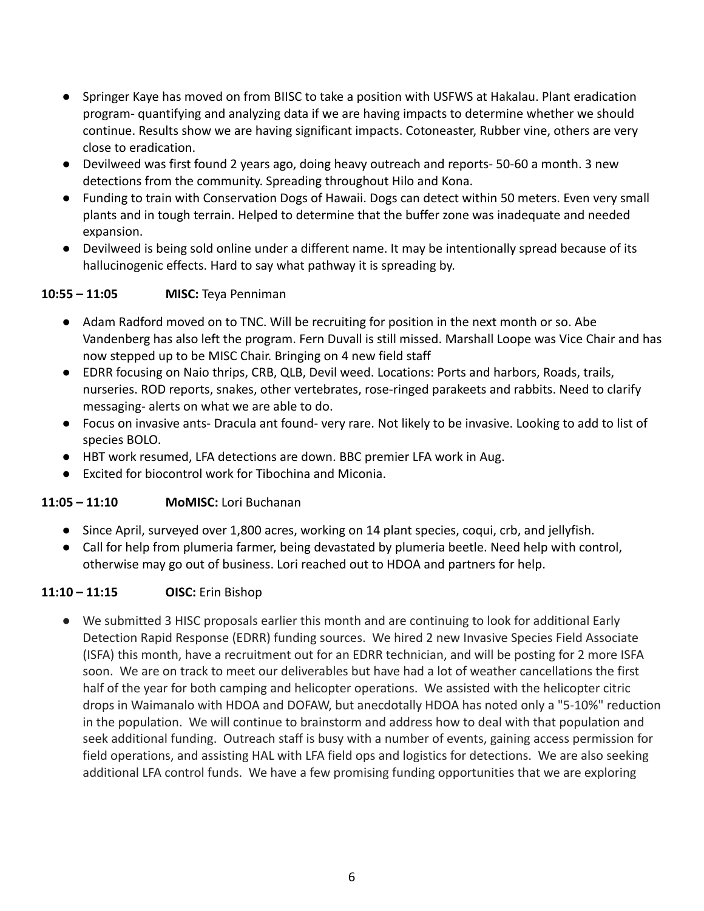- Springer Kaye has moved on from BIISC to take a position with USFWS at Hakalau. Plant eradication program- quantifying and analyzing data if we are having impacts to determine whether we should continue. Results show we are having significant impacts. Cotoneaster, Rubber vine, others are very close to eradication.
- Devilweed was first found 2 years ago, doing heavy outreach and reports- 50-60 a month. 3 new detections from the community. Spreading throughout Hilo and Kona.
- Funding to train with Conservation Dogs of Hawaii. Dogs can detect within 50 meters. Even very small plants and in tough terrain. Helped to determine that the buffer zone was inadequate and needed expansion.
- Devilweed is being sold online under a different name. It may be intentionally spread because of its hallucinogenic effects. Hard to say what pathway it is spreading by.

# **10:55 – 11:05 MISC:** Teya Penniman

- Adam Radford moved on to TNC. Will be recruiting for position in the next month or so. Abe Vandenberg has also left the program. Fern Duvall is still missed. Marshall Loope was Vice Chair and has now stepped up to be MISC Chair. Bringing on 4 new field staff
- EDRR focusing on Naio thrips, CRB, QLB, Devil weed. Locations: Ports and harbors, Roads, trails, nurseries. ROD reports, snakes, other vertebrates, rose-ringed parakeets and rabbits. Need to clarify messaging- alerts on what we are able to do.
- Focus on invasive ants- Dracula ant found- very rare. Not likely to be invasive. Looking to add to list of species BOLO.
- HBT work resumed, LFA detections are down. BBC premier LFA work in Aug.
- Excited for biocontrol work for Tibochina and Miconia.

## **11:05 – 11:10 MoMISC:** Lori Buchanan

- Since April, surveyed over 1,800 acres, working on 14 plant species, coqui, crb, and jellyfish.
- Call for help from plumeria farmer, being devastated by plumeria beetle. Need help with control, otherwise may go out of business. Lori reached out to HDOA and partners for help.

## **11:10 – 11:15 OISC:** Erin Bishop

● We submitted 3 HISC proposals earlier this month and are continuing to look for additional Early Detection Rapid Response (EDRR) funding sources. We hired 2 new Invasive Species Field Associate (ISFA) this month, have a recruitment out for an EDRR technician, and will be posting for 2 more ISFA soon. We are on track to meet our deliverables but have had a lot of weather cancellations the first half of the year for both camping and helicopter operations. We assisted with the helicopter citric drops in Waimanalo with HDOA and DOFAW, but anecdotally HDOA has noted only a "5-10%" reduction in the population. We will continue to brainstorm and address how to deal with that population and seek additional funding. Outreach staff is busy with a number of events, gaining access permission for field operations, and assisting HAL with LFA field ops and logistics for detections. We are also seeking additional LFA control funds. We have a few promising funding opportunities that we are exploring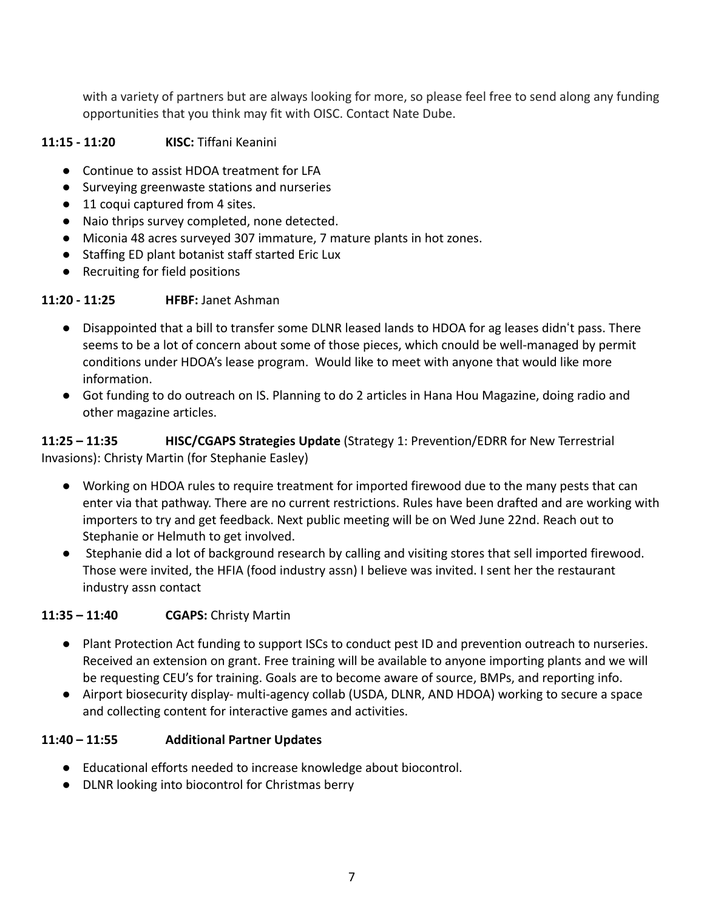with a variety of partners but are always looking for more, so please feel free to send along any funding opportunities that you think may fit with OISC. Contact Nate Dube.

## **11:15 - 11:20 KISC:** Tiffani Keanini

- Continue to assist HDOA treatment for LFA
- Surveying greenwaste stations and nurseries
- 11 coqui captured from 4 sites.
- Naio thrips survey completed, none detected.
- Miconia 48 acres surveyed 307 immature, 7 mature plants in hot zones.
- Staffing ED plant botanist staff started Eric Lux
- Recruiting for field positions

## **11:20 - 11:25 HFBF:** Janet Ashman

- Disappointed that a bill to transfer some DLNR leased lands to HDOA for ag leases didnʻt pass. There seems to be a lot of concern about some of those pieces, which cnould be well-managed by permit conditions under HDOA's lease program. Would like to meet with anyone that would like more information.
- Got funding to do outreach on IS. Planning to do 2 articles in Hana Hou Magazine, doing radio and other magazine articles.

**11:25 – 11:35 HISC/CGAPS Strategies Update** (Strategy 1: Prevention/EDRR for New Terrestrial Invasions): Christy Martin (for Stephanie Easley)

- Working on HDOA rules to require treatment for imported firewood due to the many pests that can enter via that pathway. There are no current restrictions. Rules have been drafted and are working with importers to try and get feedback. Next public meeting will be on Wed June 22nd. Reach out to Stephanie or Helmuth to get involved.
- Stephanie did a lot of background research by calling and visiting stores that sell imported firewood. Those were invited, the HFIA (food industry assn) I believe was invited. I sent her the restaurant industry assn contact

## **11:35 – 11:40 CGAPS:** Christy Martin

- Plant Protection Act funding to support ISCs to conduct pest ID and prevention outreach to nurseries. Received an extension on grant. Free training will be available to anyone importing plants and we will be requesting CEU's for training. Goals are to become aware of source, BMPs, and reporting info.
- Airport biosecurity display- multi-agency collab (USDA, DLNR, AND HDOA) working to secure a space and collecting content for interactive games and activities.

# **11:40 – 11:55 Additional Partner Updates**

- Educational efforts needed to increase knowledge about biocontrol.
- DLNR looking into biocontrol for Christmas berry